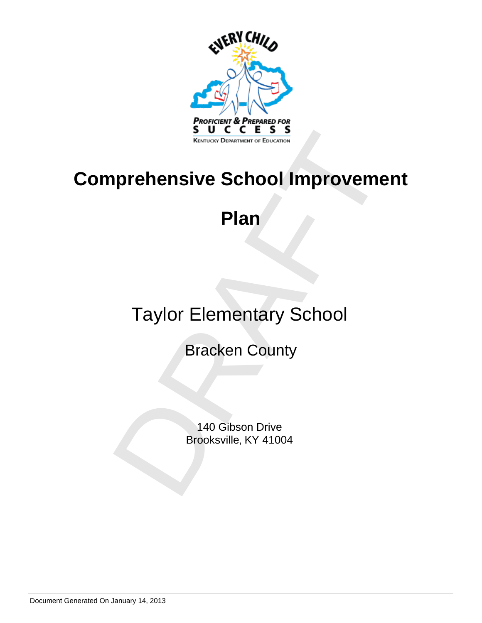

# Prehensive School Improvement<br>Plan<br>Taylor Elementary School<br>Bracken County<br><sup>140</sup> Gibson Drive<br>Brooksville, KY 41004 **Comprehensive School Improvement**

# **Plan**

# Taylor Elementary School

Bracken County

140 Gibson Drive Brooksville, KY 41004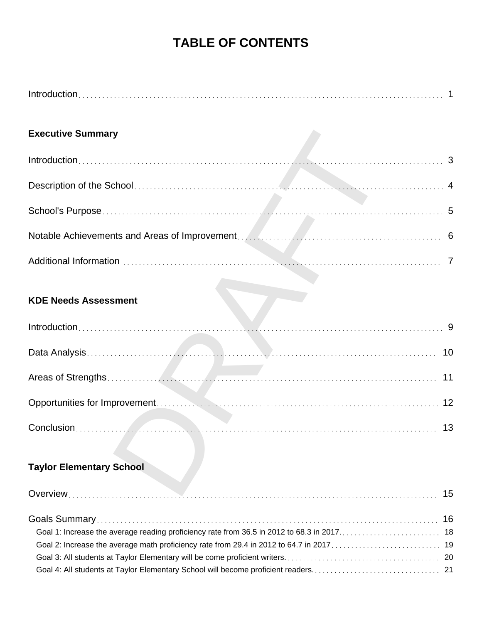# **TABLE OF CONTENTS**

| <b>Executive Summary</b>        |    |
|---------------------------------|----|
|                                 |    |
|                                 |    |
|                                 |    |
|                                 |    |
|                                 |    |
| <b>KDE Needs Assessment</b>     |    |
|                                 |    |
|                                 |    |
|                                 | 11 |
|                                 | 12 |
|                                 | 13 |
| <b>Taylor Elementary School</b> |    |
| Overview                        | 15 |

# **Taylor Elementary School**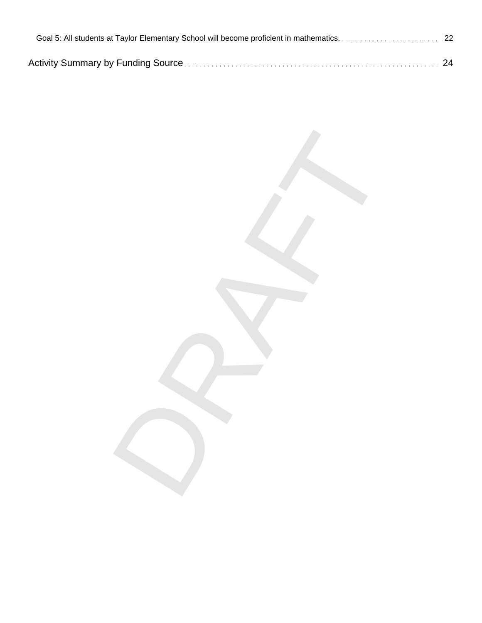DRAFT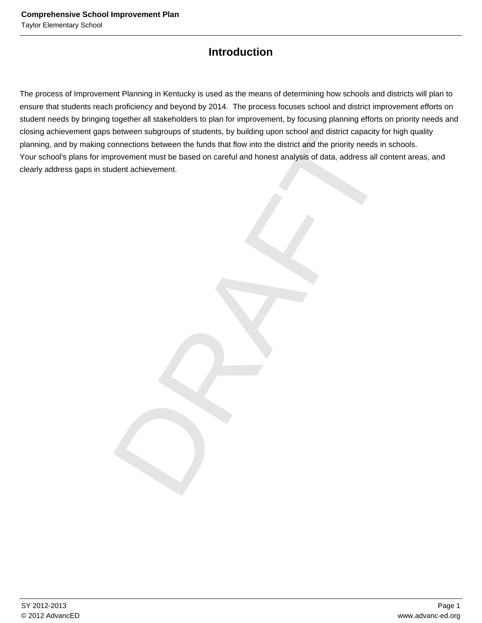# **Introduction**

between subgroups of students, by building upon school and district capacity for high qu<br>connections between the tunds that flow into the district and the priority needs in schools.<br>provement must be based on careful and h The process of Improvement Planning in Kentucky is used as the means of determining how schools and districts will plan to ensure that students reach proficiency and beyond by 2014. The process focuses school and district improvement efforts on student needs by bringing together all stakeholders to plan for improvement, by focusing planning efforts on priority needs and closing achievement gaps between subgroups of students, by building upon school and district capacity for high quality planning, and by making connections between the funds that flow into the district and the priority needs in schools. Your school's plans for improvement must be based on careful and honest analysis of data, address all content areas, and clearly address gaps in student achievement.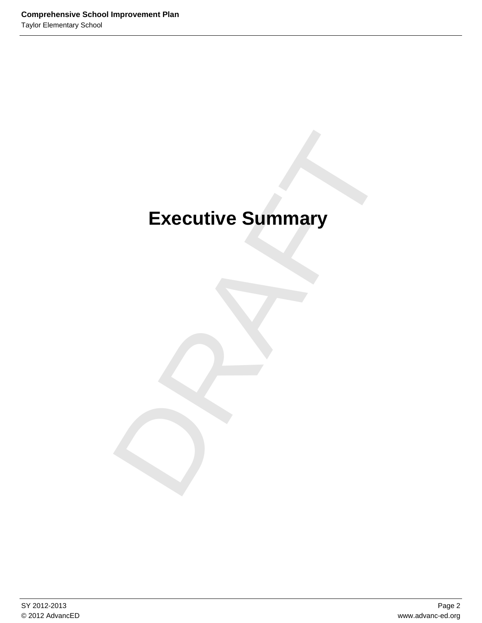# Executive Summary **Executive Summary**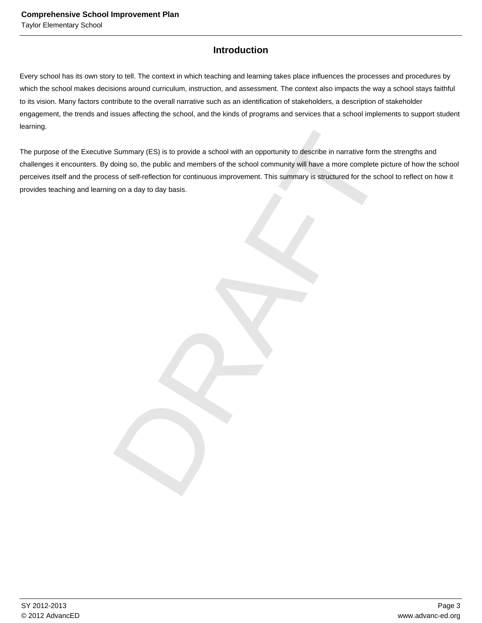# **Introduction**

Every school has its own story to tell. The context in which teaching and learning takes place influences the processes and procedures by which the school makes decisions around curriculum, instruction, and assessment. The context also impacts the way a school stays faithful to its vision. Many factors contribute to the overall narrative such as an identification of stakeholders, a description of stakeholder engagement, the trends and issues affecting the school, and the kinds of programs and services that a school implements to support student learning.

Summary (ES) is to provide a school with an opportunity to describe in narrative form the strength<br>doing so, the public and members of the school community will have a more complete picture of ht<br>iss of self-reflection for The purpose of the Executive Summary (ES) is to provide a school with an opportunity to describe in narrative form the strengths and challenges it encounters. By doing so, the public and members of the school community will have a more complete picture of how the school perceives itself and the process of self-reflection for continuous improvement. This summary is structured for the school to reflect on how it provides teaching and learning on a day to day basis.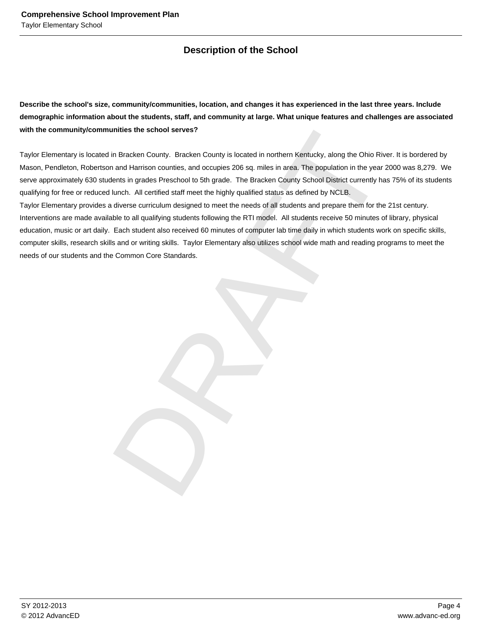# **Description of the School**

**Describe the school's size, community/communities, location, and changes it has experienced in the last three years. Include demographic information about the students, staff, and community at large. What unique features and challenges are associated with the community/communities the school serves?**

Taylor Elementary is located in Bracken County. Bracken County is located in northern Kentucky, along the Ohio River. It is bordered by Mason, Pendleton, Robertson and Harrison counties, and occupies 206 sq. miles in area. The population in the year 2000 was 8,279. We serve approximately 630 students in grades Preschool to 5th grade. The Bracken County School District currently has 75% of its students qualifying for free or reduced lunch. All certified staff meet the highly qualified status as defined by NCLB.

unities the school serves?<br>
In Bracken County, Bracken County is located in northern Kentucky, along the Ohio River. It is both and Harrison counties, and occupies 200 say, miles in ates. The population in the year 2000 wa Taylor Elementary provides a diverse curriculum designed to meet the needs of all students and prepare them for the 21st century. Interventions are made available to all qualifying students following the RTI model. All students receive 50 minutes of library, physical education, music or art daily. Each student also received 60 minutes of computer lab time daily in which students work on specific skills, computer skills, research skills and or writing skills. Taylor Elementary also utilizes school wide math and reading programs to meet the needs of our students and the Common Core Standards.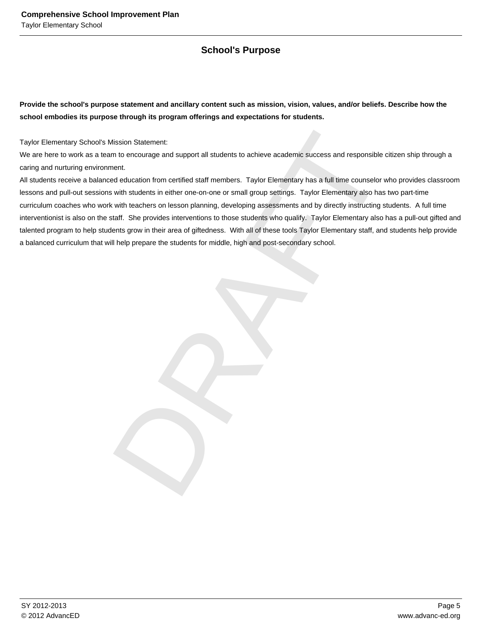# **School's Purpose**

**Provide the school's purpose statement and ancillary content such as mission, vision, values, and/or beliefs. Describe how the school embodies its purpose through its program offerings and expectations for students.**

Taylor Elementary School's Mission Statement:

We are here to work as a team to encourage and support all students to achieve academic success and responsible citizen ship through a caring and nurturing environment.

Mission Statement:<br>
m to encourage and support all students to achieve academic success and responsible citizen ship<br>
ment.<br>
and education from cartified staff members. Taylor Elementary has a full time counselor who provi All students receive a balanced education from certified staff members. Taylor Elementary has a full time counselor who provides classroom lessons and pull-out sessions with students in either one-on-one or small group settings. Taylor Elementary also has two part-time curriculum coaches who work with teachers on lesson planning, developing assessments and by directly instructing students. A full time interventionist is also on the staff. She provides interventions to those students who qualify. Taylor Elementary also has a pull-out gifted and talented program to help students grow in their area of giftedness. With all of these tools Taylor Elementary staff, and students help provide a balanced curriculum that will help prepare the students for middle, high and post-secondary school.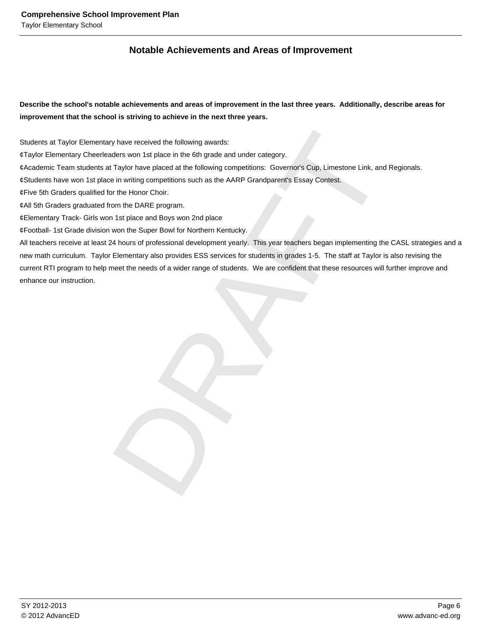# **Notable Achievements and Areas of Improvement**

**Describe the school's notable achievements and areas of improvement in the last three years. Additionally, describe areas for improvement that the school is striving to achieve in the next three years.**

Students at Taylor Elementary have received the following awards:

- ¢ Taylor Elementary Cheerleaders won 1st place in the 6th grade and under category.
- ¢ Academic Team students at Taylor have placed at the following competitions: Governor's Cup, Limestone Link, and Regionals.
- $\phi$  Students have won 1st place in writing competitions such as the AARP Grandparent's Essay Contest.
- $¢$  Five 5th Graders qualified for the Honor Choir.
- $¢$  All 5th Graders graduated from the DARE program.
- $¢$  Elementary Track- Girls won 1st place and Boys won 2nd place
- ¢ Football- 1st Grade division won the Super Bowl for Northern Kentucky.

ry have received the following awards:<br>
aders won 1st place in the 6th grade and under category.<br>
Traffvior have placed at the following competitions: Governor's Cup, Limestone Link, and Regional<br>
be in writing competition All teachers receive at least 24 hours of professional development yearly. This year teachers began implementing the CASL strategies and a new math curriculum. Taylor Elementary also provides ESS services for students in grades 1-5. The staff at Taylor is also revising the current RTI program to help meet the needs of a wider range of students. We are confident that these resources will further improve and enhance our instruction.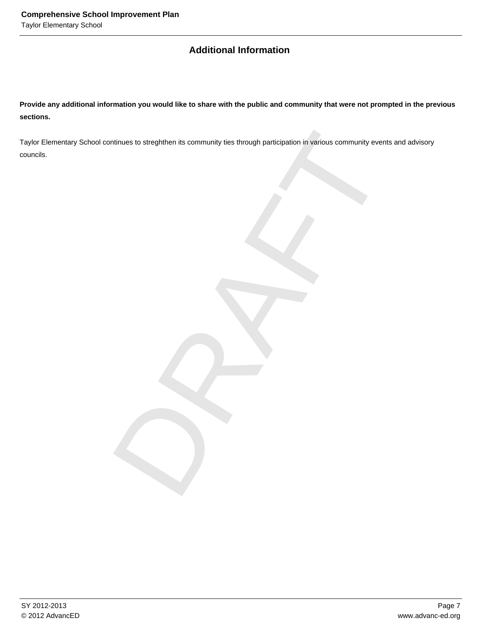# **Additional Information**

**Provide any additional information you would like to share with the public and community that were not prompted in the previous sections.**

ntinues to strephthen its community ties through participation in various community events and adv<br>
and the community of the community of the community of the community of the community of the community of the community of Taylor Elementary School continues to streghthen its community ties through participation in various community events and advisory councils.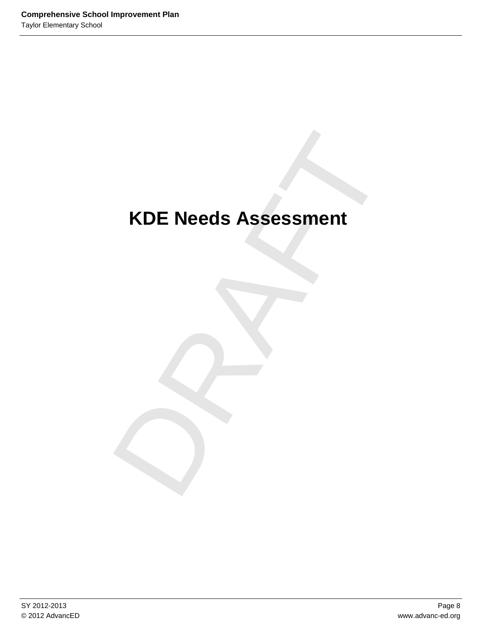# KDE Needs Assessment **KDE Needs Assessment**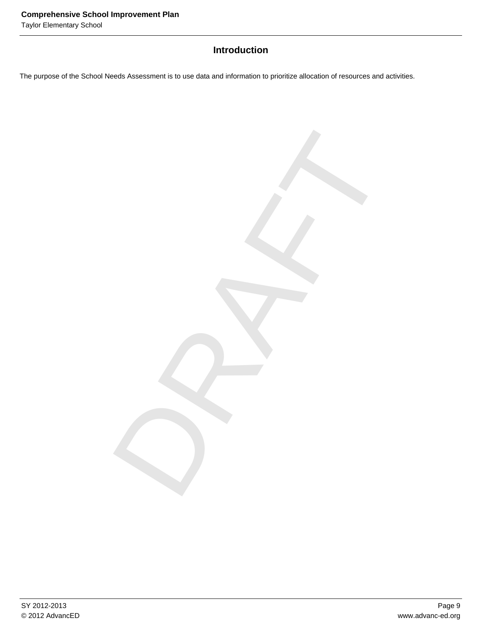Taylor Elementary School

# **Introduction**

DRAFT

The purpose of the School Needs Assessment is to use data and information to prioritize allocation of resources and activities.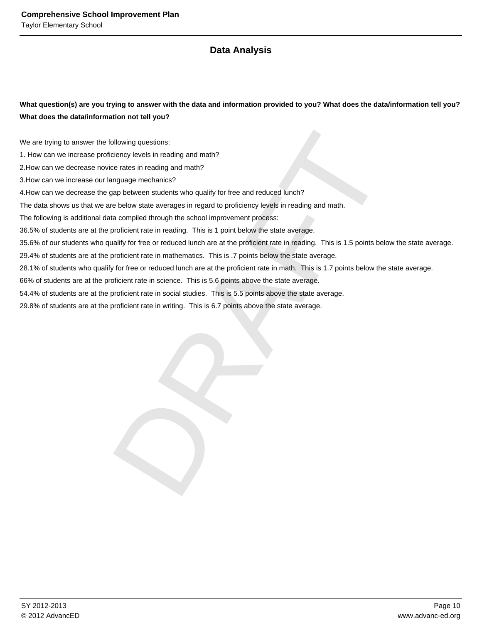# **Data Analysis**

**What question(s) are you trying to answer with the data and information provided to you? What does the data/information tell you? What does the data/information not tell you?**

We are trying to answer the following questions:

1. How can we increase proficiency levels in reading and math?

2. How can we decrease novice rates in reading and math?

3. How can we increase our language mechanics?

4. How can we decrease the gap between students who qualify for free and reduced lunch?

The data shows us that we are below state averages in regard to proficiency levels in reading and math.

The following is additional data compiled through the school improvement process:

36.5% of students are at the proficient rate in reading. This is 1 point below the state average.

ollowing questions:<br>
riclency levels in reading and math?<br>
rice rates in reading and math?<br>
anguage mechanics?<br>
anguage mechanics?<br>
anguage mechanics?<br>
anguage mechanics?<br>
anguage mechanics?<br>
anguage mechanics?<br>
proficient 35.6% of our students who qualify for free or reduced lunch are at the proficient rate in reading. This is 1.5 points below the state average.

29.4% of students are at the proficient rate in mathematics. This is .7 points below the state average.

28.1% of students who qualify for free or reduced lunch are at the proficient rate in math. This is 1.7 points below the state average.

66% of students are at the proficient rate in science. This is 5.6 points above the state average.

54.4% of students are at the proficient rate in social studies. This is 5.5 points above the state average.

29.8% of students are at the proficient rate in writing. This is 6.7 points above the state average.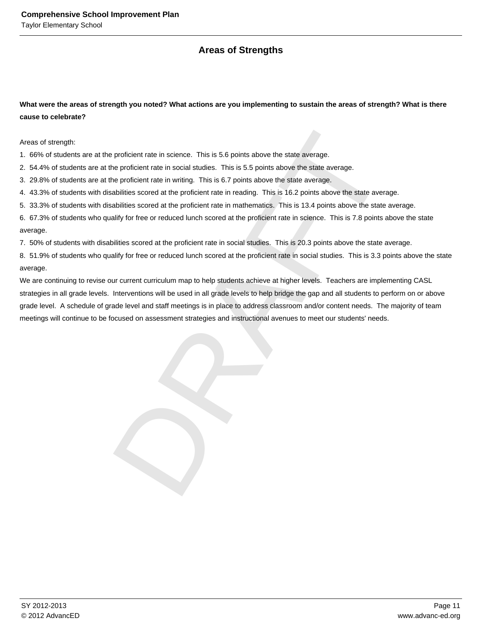# **Areas of Strengths**

**What were the areas of strength you noted? What actions are you implementing to sustain the areas of strength? What is there cause to celebrate?**

Areas of strength:

1. 66% of students are at the proficient rate in science. This is 5.6 points above the state average.

2. 54.4% of students are at the proficient rate in social studies. This is 5.5 points above the state average.

3. 29.8% of students are at the proficient rate in writing. This is 6.7 points above the state average.

4. 43.3% of students with disabilities scored at the proficient rate in reading. This is 16.2 points above the state average.

5. 33.3% of students with disabilities scored at the proficient rate in mathematics. This is 13.4 points above the state average.

6. 67.3% of students who qualify for free or reduced lunch scored at the proficient rate in science. This is 7.8 points above the state average.

7. 50% of students with disabilities scored at the proficient rate in social studies. This is 20.3 points above the state average.

8. 51.9% of students who qualify for free or reduced lunch scored at the proficient rate in social studies. This is 3.3 points above the state average.

e proficient rate in science. This is 5.6 points above the state average.<br>The proficient rate in social studies. This is 5.5 points above the state average.<br>The proficient rate in writing. This is 6.7 points above the stat We are continuing to revise our current curriculum map to help students achieve at higher levels. Teachers are implementing CASL strategies in all grade levels. Interventions will be used in all grade levels to help bridge the gap and all students to perform on or above grade level. A schedule of grade level and staff meetings is in place to address classroom and/or content needs. The majority of team meetings will continue to be focused on assessment strategies and instructional avenues to meet our students' needs.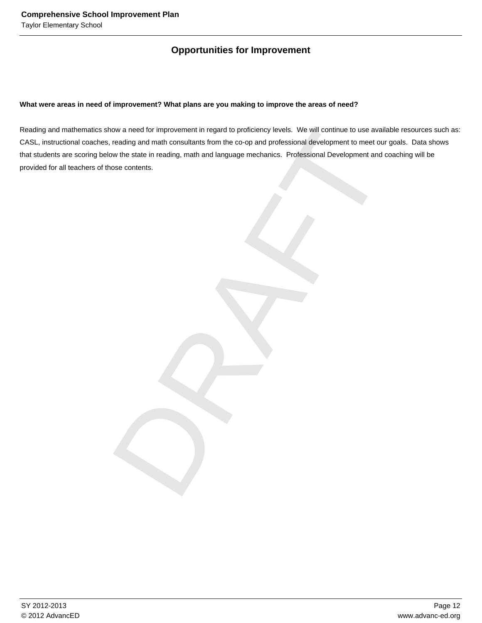# **Opportunities for Improvement**

## **What were areas in need of improvement? What plans are you making to improve the areas of need?**

ow a need for improvement in regard to profitelency levels. We will contribute to use a valiable resources the<br>reading and math consultants from the co-op and professional development to meet our goals. Due<br>withe state in Reading and mathematics show a need for improvement in regard to proficiency levels. We will continue to use available resources such as: CASL, instructional coaches, reading and math consultants from the co-op and professional development to meet our goals. Data shows that students are scoring below the state in reading, math and language mechanics. Professional Development and coaching will be provided for all teachers of those contents.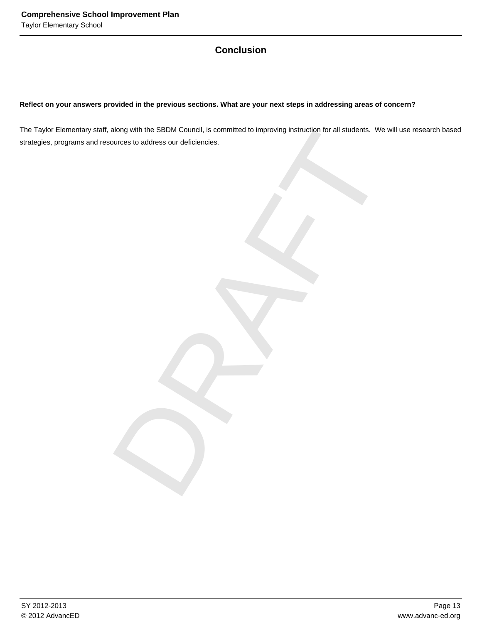# **Conclusion**

# **Reflect on your answers provided in the previous sections. What are your next steps in addressing areas of concern?**

along with the SBDM Council, is committed to improving instruction for all students. We will use re-<br>ources to address our deficiencies. The Taylor Elementary staff, along with the SBDM Council, is committed to improving instruction for all students. We will use research based strategies, programs and resources to address our deficiencies.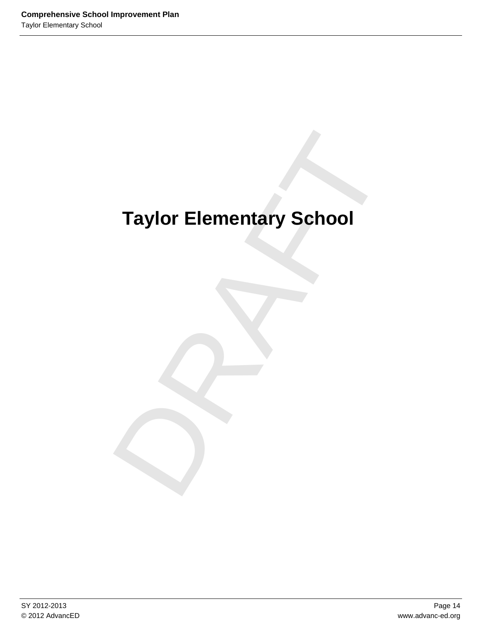# Taylor Elementary School **Taylor Elementary School**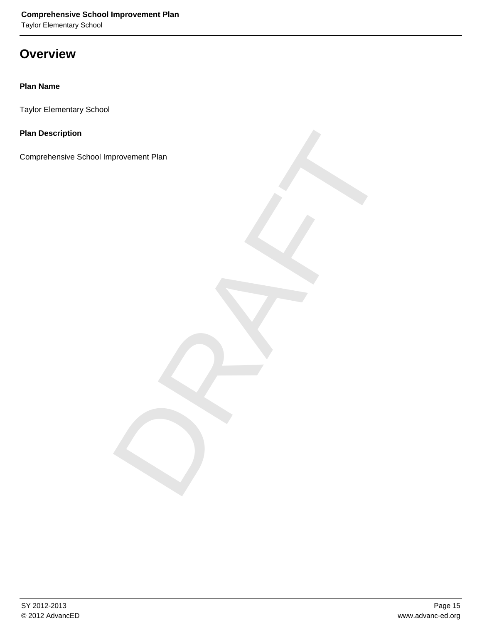Taylor Elementary School

# **Overview**

# **Plan Name**

Taylor Elementary School

**Plan Description**

PROVEMENT PLAN<br>DRAFT Comprehensive School Improvement Plan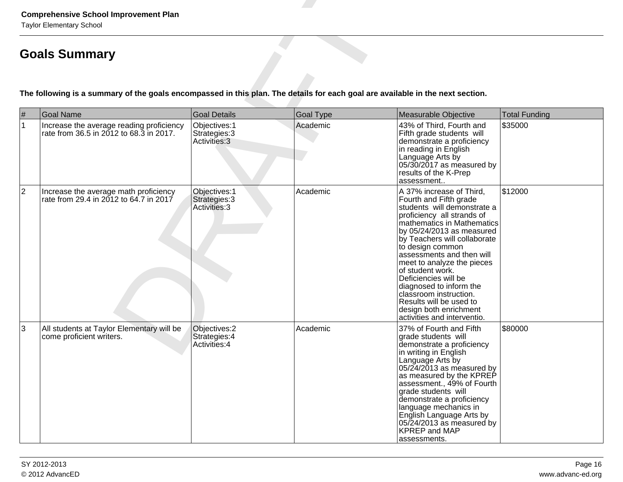|                        | <b>Comprehensive School Improvement Plan</b><br><b>Taylor Elementary School</b>                                                |                                                                        |                              |                                                                                                                                                                                                                                                                                                                                                                                                                                                                                |                                 |  |  |  |  |  |  |
|------------------------|--------------------------------------------------------------------------------------------------------------------------------|------------------------------------------------------------------------|------------------------------|--------------------------------------------------------------------------------------------------------------------------------------------------------------------------------------------------------------------------------------------------------------------------------------------------------------------------------------------------------------------------------------------------------------------------------------------------------------------------------|---------------------------------|--|--|--|--|--|--|
|                        | <b>Goals Summary</b>                                                                                                           |                                                                        |                              |                                                                                                                                                                                                                                                                                                                                                                                                                                                                                |                                 |  |  |  |  |  |  |
|                        | The following is a summary of the goals encompassed in this plan. The details for each goal are available in the next section. |                                                                        |                              |                                                                                                                                                                                                                                                                                                                                                                                                                                                                                |                                 |  |  |  |  |  |  |
| $\#$<br>$\overline{1}$ | <b>Goal Name</b><br>Increase the average reading proficiency<br>rate from 36.5 in 2012 to 68.3 in 2017.                        | <b>Goal Details</b><br>Objectives: 1<br>Strategies: 3<br>Activities: 3 | <b>Goal Type</b><br>Academic | Measurable Objective<br>43% of Third, Fourth and<br>Fifth grade students will<br>demonstrate a proficiency<br>in reading in English<br>Language Arts by<br>05/30/2017 as measured by<br>results of the K-Prep<br>assessment                                                                                                                                                                                                                                                    | <b>Total Funding</b><br>\$35000 |  |  |  |  |  |  |
| $ 2\rangle$            | Increase the average math proficiency<br>rate from 29.4 in 2012 to 64.7 in 2017                                                | Objectives: 1<br>Strategies: 3<br>Activities: 3                        | Academic                     | A 37% increase of Third,<br>Fourth and Fifth grade<br>students will demonstrate a<br>proficiency all strands of<br>mathematics in Mathematics<br>by 05/24/2013 as measured<br>by Teachers will collaborate<br>to design common<br>assessments and then will<br>meet to analyze the pieces<br>of student work.<br>Deficiencies will be<br>diagnosed to inform the<br>classroom instruction.<br>Results will be used to<br>design both enrichment<br>activities and interventio. | \$12000                         |  |  |  |  |  |  |
| 3                      | All students at Taylor Elementary will be<br>come proficient writers.                                                          | Objectives: 2<br>Strategies: 4<br>Activities: 4                        | Academic                     | 37% of Fourth and Fifth<br>grade students will<br>demonstrate a proficiency<br>in writing in English<br>Language Arts by<br>$05/24/2013$ as measured by<br>as measured by the KPREP<br>assessment., 49% of Fourth<br>grade students will<br>demonstrate a proficiency<br>language mechanics in<br>English Language Arts by<br>05/24/2013 as measured by<br><b>KPREP</b> and MAP<br>assessments.                                                                                | \$80000                         |  |  |  |  |  |  |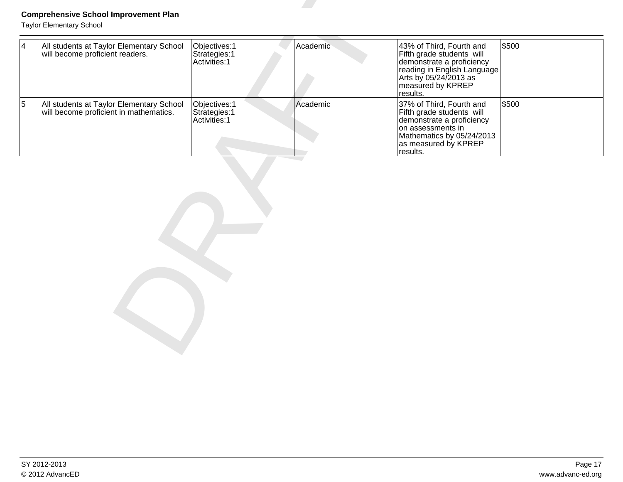|                | <b>Comprehensive School Improvement Plan</b><br><b>Taylor Elementary School</b>    |                                                 |          |                                                                                                                                                                             |       |
|----------------|------------------------------------------------------------------------------------|-------------------------------------------------|----------|-----------------------------------------------------------------------------------------------------------------------------------------------------------------------------|-------|
| $\overline{4}$ | All students at Taylor Elementary School<br>will become proficient readers.        | Objectives: 1<br>Strategies: 1<br>Activities: 1 | Academic | 43% of Third, Fourth and<br>Fifth grade students will<br>demonstrate a proficiency<br>reading in English Language<br>Arts by 05/24/2013 as<br>measured by KPREP<br>results. | \$500 |
| $\overline{5}$ | All students at Taylor Elementary School<br>will become proficient in mathematics. | Objectives: 1<br>Strategies: 1<br>Activities: 1 | Academic | 37% of Third, Fourth and<br>Fifth grade students will<br>demonstrate a proficiency<br>on assessments in<br>Mathematics by 05/24/2013<br>as measured by KPREP<br>results.    | \$500 |
|                |                                                                                    |                                                 |          |                                                                                                                                                                             |       |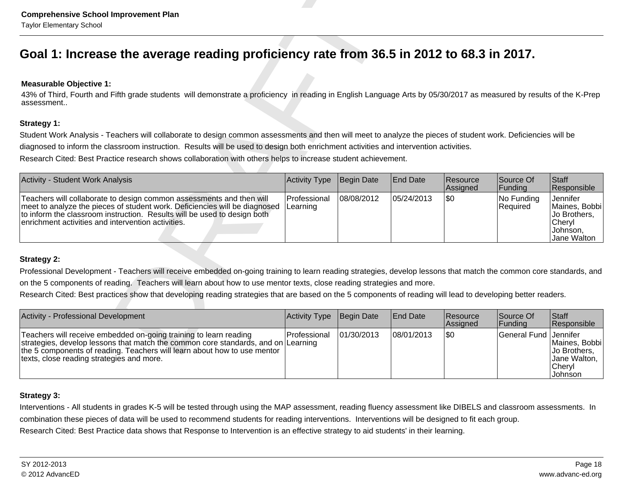# **Measurable Objective 1:**

| <b>Comprehensive School Improvement Plan</b><br><b>Taylor Elementary School</b>                                                                                                                                                                                                      |                          |            |                 |                      |                        |                                                                                |
|--------------------------------------------------------------------------------------------------------------------------------------------------------------------------------------------------------------------------------------------------------------------------------------|--------------------------|------------|-----------------|----------------------|------------------------|--------------------------------------------------------------------------------|
| Goal 1: Increase the average reading proficiency rate from 36.5 in 2012 to 68.3 in 2017.                                                                                                                                                                                             |                          |            |                 |                      |                        |                                                                                |
| <b>Measurable Objective 1:</b><br>43% of Third, Fourth and Fifth grade students will demonstrate a proficiency in reading in English Language Arts by 05/30/2017 as measured by results of the K-Prep<br>assessment                                                                  |                          |            |                 |                      |                        |                                                                                |
| <b>Strategy 1:</b>                                                                                                                                                                                                                                                                   |                          |            |                 |                      |                        |                                                                                |
| Student Work Analysis - Teachers will collaborate to design common assessments and then will meet to analyze the pieces of student work. Deficiencies will be                                                                                                                        |                          |            |                 |                      |                        |                                                                                |
| diagnosed to inform the classroom instruction. Results will be used to design both enrichment activities and intervention activities.                                                                                                                                                |                          |            |                 |                      |                        |                                                                                |
| Research Cited: Best Practice research shows collaboration with others helps to increase student achievement.                                                                                                                                                                        |                          |            |                 |                      |                        |                                                                                |
| Activity - Student Work Analysis                                                                                                                                                                                                                                                     | <b>Activity Type</b>     | Begin Date | <b>End Date</b> | Resource<br>Assigned | Source Of<br>Funding   | Staff<br>Responsible                                                           |
| Teachers will collaborate to design common assessments and then will<br>meet to analyze the pieces of student work. Deficiencies will be diagnosed<br>to inform the classroom instruction. Results will be used to design both<br>enrichment activities and intervention activities. | Professional<br>Learning | 08/08/2012 | 05/24/2013      | \$0                  | No Funding<br>Required | Jennifer<br>Maines, Bobbi<br>Jo Brothers,<br>Cheryl<br>Johnson,<br>Jane Walton |
| <b>Strategy 2:</b>                                                                                                                                                                                                                                                                   |                          |            |                 |                      |                        |                                                                                |
| Professional Development - Teachers will receive embedded on-going training to learn reading strategies, develop lessons that match the common core standards, and                                                                                                                   |                          |            |                 |                      |                        |                                                                                |
| on the 5 components of reading. Teachers will learn about how to use mentor texts, close reading strategies and more.                                                                                                                                                                |                          |            |                 |                      |                        |                                                                                |
| Research Cited: Best practices show that developing reading strategies that are based on the 5 components of reading will lead to developing better readers.                                                                                                                         |                          |            |                 |                      |                        |                                                                                |
| Activity - Professional Development                                                                                                                                                                                                                                                  | <b>Activity Type</b>     | Begin Date | <b>End Date</b> | Resource<br>Assigned | Source Of<br>Fundina   | Staff<br>Responsible                                                           |
| Teachers will receive embedded on-going training to learn reading<br>strategies, develop lessons that match the common core standards, and on Learning<br>the 5 components of reading. Teachers will learn about how to use mentor                                                   | Professional             | 01/30/2013 | 08/01/2013      | \$0                  | <b>General Fund</b>    | Jennifer<br>Maines, Bobbi<br>Jo Brothers,                                      |

| Activity - Professional Development                                                                                                                                                                                                                                             | Activity Type       | Begin Date | End Date   | Resource<br>Assigned | Source Of<br> Funding | <b>Staff</b><br>Responsible                                            |
|---------------------------------------------------------------------------------------------------------------------------------------------------------------------------------------------------------------------------------------------------------------------------------|---------------------|------------|------------|----------------------|-----------------------|------------------------------------------------------------------------|
| Teachers will receive embedded on-going training to learn reading<br>strategies, develop lessons that match the common core standards, and on Learning<br>the 5 components of reading. Teachers will learn about how to use mentor<br>texts, close reading strategies and more. | <b>Professional</b> | 01/30/2013 | 08/01/2013 | 1\$0                 | General Fund Jennifer | Maines, Bobbi<br>Jo Brothers,<br>Jane Walton, I<br>lChervl<br>∣Johnson |

# **Strategy 3:**

Interventions - All students in grades K-5 will be tested through using the MAP assessment, reading fluency assessment like DIBELS and classroom assessments. Incombination these pieces of data will be used to recommend students for reading interventions. Interventions will be designed to fit each group. Research Cited: Best Practice data shows that Response to Intervention is an effective strategy to aid students' in their learning.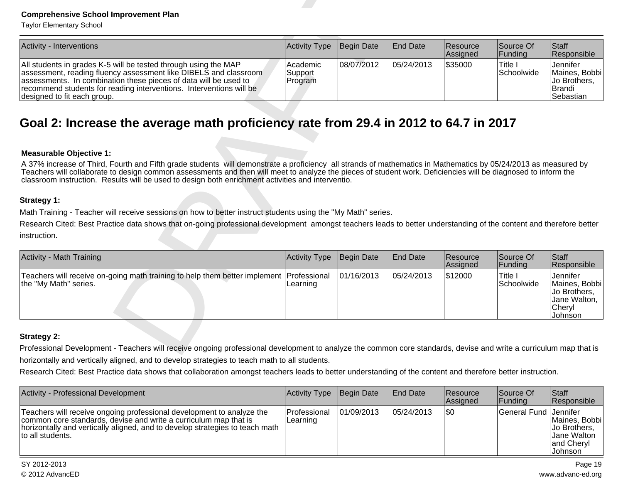| <b>Activity - Interventions</b>                                                                                                                                                                                                                                                                               | Activity Type Begin Date                     |            | <b>IEnd Date</b> | <b>Resource</b><br><b>Assigned</b> | Source Of<br><b>Funding</b>   | <b>Staff</b><br>Responsible                                                             |
|---------------------------------------------------------------------------------------------------------------------------------------------------------------------------------------------------------------------------------------------------------------------------------------------------------------|----------------------------------------------|------------|------------------|------------------------------------|-------------------------------|-----------------------------------------------------------------------------------------|
| All students in grades K-5 will be tested through using the MAP<br>assessment, reading fluency assessment like DIBELS and classroom<br>assessments. In combination these pieces of data will be used to<br>recommend students for reading interventions. Interventions will be<br>designed to fit each group. | <b>Academic</b><br>Support<br><b>Program</b> | 08/07/2012 | 05/24/2013       | 1\$35000                           | 'Title ।<br><b>Schoolwide</b> | <b>Jennifer</b><br><b>Maines, Bobbil</b><br><b>Jo Brothers.</b><br>IBrandi<br>Sebastian |

| <b>Comprehensive School Improvement Plan</b><br><b>Taylor Elementary School</b>                                                                                                                                                                                                                                                                                                                                                                                                                                                                                                                                                                                                                                                                                                             |                                |            |                 |                      |                       |                                                                                |
|---------------------------------------------------------------------------------------------------------------------------------------------------------------------------------------------------------------------------------------------------------------------------------------------------------------------------------------------------------------------------------------------------------------------------------------------------------------------------------------------------------------------------------------------------------------------------------------------------------------------------------------------------------------------------------------------------------------------------------------------------------------------------------------------|--------------------------------|------------|-----------------|----------------------|-----------------------|--------------------------------------------------------------------------------|
| Activity - Interventions                                                                                                                                                                                                                                                                                                                                                                                                                                                                                                                                                                                                                                                                                                                                                                    | Activity Type                  | Begin Date | <b>End Date</b> | Resource<br>Assigned | Source Of<br>Funding  | Staff<br>Responsible                                                           |
| All students in grades K-5 will be tested through using the MAP<br>assessment, reading fluency assessment like DIBELS and classroom<br>assessments. In combination these pieces of data will be used to<br>recommend students for reading interventions. Interventions will be<br>designed to fit each group.                                                                                                                                                                                                                                                                                                                                                                                                                                                                               | Academic<br>Support<br>Program | 08/07/2012 | 05/24/2013      | \$35000              | Title I<br>Schoolwide | Jennifer<br>Maines, Bobbi<br>Jo Brothers,<br>Brandi<br>Sebastian               |
| Goal 2: Increase the average math proficiency rate from 29.4 in 2012 to 64.7 in 2017                                                                                                                                                                                                                                                                                                                                                                                                                                                                                                                                                                                                                                                                                                        |                                |            |                 |                      |                       |                                                                                |
| <b>Measurable Objective 1:</b><br>A 37% increase of Third, Fourth and Fifth grade students will demonstrate a proficiency all strands of mathematics in Mathematics by 05/24/2013 as measured by<br>Teachers will collaborate to design common assessments and then will meet to analyze the pieces of student work. Deficiencies will be diagnosed to inform the<br>classroom instruction. Results will be used to design both enrichment activities and interventio.<br>Strategy 1:<br>Math Training - Teacher will receive sessions on how to better instruct students using the "My Math" series.<br>Research Cited: Best Practice data shows that on-going professional development amongst teachers leads to better understanding of the content and therefore better<br>instruction. |                                |            |                 |                      |                       |                                                                                |
| Activity - Math Training                                                                                                                                                                                                                                                                                                                                                                                                                                                                                                                                                                                                                                                                                                                                                                    | <b>Activity Type</b>           | Begin Date | <b>End Date</b> | Resource<br>Assigned | Source Of<br>Funding  | Staff<br>Responsible                                                           |
| Teachers will receive on-going math training to help them better implement<br>the "My Math" series.                                                                                                                                                                                                                                                                                                                                                                                                                                                                                                                                                                                                                                                                                         | Professional<br>Learning       | 01/16/2013 | 05/24/2013      | \$12000              | Title I<br>Schoolwide | Jennifer<br>Maines, Bobbi<br>Jo Brothers,<br>Jane Walton,<br>Cheryl<br>Johnson |
| <b>Strategy 2:</b><br>Professional Development - Teachers will receive ongoing professional development to analyze the common core standards, devise and write a curriculum map that is<br>horizontally and vertically aligned, and to develop strategies to teach math to all students.<br>Research Cited: Best Practice data shows that collaboration amongst teachers leads to better understanding of the content and therefore better instruction.                                                                                                                                                                                                                                                                                                                                     |                                |            |                 |                      |                       |                                                                                |

| Activity - Professional Development                                                                                                                                                                                                           | Activity Type            | Begin Date | <b>End Date</b> | <b>Resource</b><br>Assigned | Source Of<br> Funding   | <b>Staff</b><br>Responsible                                                    |
|-----------------------------------------------------------------------------------------------------------------------------------------------------------------------------------------------------------------------------------------------|--------------------------|------------|-----------------|-----------------------------|-------------------------|--------------------------------------------------------------------------------|
| Teachers will receive ongoing professional development to analyze the<br>common core standards, devise and write a curriculum map that is<br>horizontally and vertically aligned, and to develop strategies to teach math<br>to all students. | Professional<br>Learning | 01/09/2013 | 05/24/2013      | \$0                         | General Fund   Jennifer | Maines. Bobbil<br><b>Jo Brothers.</b><br>IJane Walton<br>and Cheryl<br>Johnson |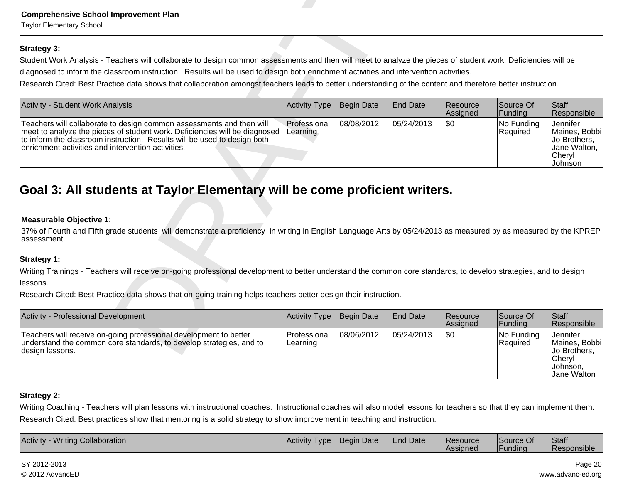| <b>Comprehensive School Improvement Plan</b><br><b>Taylor Elementary School</b>                                                                                                                                                                                                      |                          |            |                 |                      |                        |                                                                                       |
|--------------------------------------------------------------------------------------------------------------------------------------------------------------------------------------------------------------------------------------------------------------------------------------|--------------------------|------------|-----------------|----------------------|------------------------|---------------------------------------------------------------------------------------|
| <b>Strategy 3:</b>                                                                                                                                                                                                                                                                   |                          |            |                 |                      |                        |                                                                                       |
| Student Work Analysis - Teachers will collaborate to design common assessments and then will meet to analyze the pieces of student work. Deficiencies will be                                                                                                                        |                          |            |                 |                      |                        |                                                                                       |
| diagnosed to inform the classroom instruction. Results will be used to design both enrichment activities and intervention activities.                                                                                                                                                |                          |            |                 |                      |                        |                                                                                       |
| Research Cited: Best Practice data shows that collaboration amongst teachers leads to better understanding of the content and therefore better instruction.                                                                                                                          |                          |            |                 |                      |                        |                                                                                       |
| Activity - Student Work Analysis                                                                                                                                                                                                                                                     | <b>Activity Type</b>     | Begin Date | <b>End Date</b> | Resource<br>Assigned | Source Of<br>Funding   | Staff<br>Responsible                                                                  |
| Teachers will collaborate to design common assessments and then will<br>meet to analyze the pieces of student work. Deficiencies will be diagnosed<br>to inform the classroom instruction. Results will be used to design both<br>enrichment activities and intervention activities. | Professional<br>Learning | 08/08/2012 | 05/24/2013      | \$0                  | No Funding<br>Required | <b>Jennifer</b><br>Maines, Bobbi<br>Jo Brothers,<br>Jane Walton,<br>Cheryl<br>Johnson |
| Goal 3: All students at Taylor Elementary will be come proficient writers.<br><b>Measurable Objective 1:</b><br>37% of Fourth and Fifth grade students will demonstrate a proficiency in writing in English Language Arts by 05/24/2013 as measured by as measured by the KPREP      |                          |            |                 |                      |                        |                                                                                       |
| assessment.                                                                                                                                                                                                                                                                          |                          |            |                 |                      |                        |                                                                                       |
| Strategy 1:                                                                                                                                                                                                                                                                          |                          |            |                 |                      |                        |                                                                                       |
| Writing Trainings - Teachers will receive on-going professional development to better understand the common core standards, to develop strategies, and to design                                                                                                                     |                          |            |                 |                      |                        |                                                                                       |
| lessons.                                                                                                                                                                                                                                                                             |                          |            |                 |                      |                        |                                                                                       |
| Research Cited: Best Practice data shows that on-going training helps teachers better design their instruction.                                                                                                                                                                      |                          |            |                 |                      |                        |                                                                                       |
| Activity - Professional Development                                                                                                                                                                                                                                                  | Activity Type            | Begin Date | <b>End Date</b> | Resource<br>Assigned | Source Of<br>Funding   | Staff<br>Responsible                                                                  |
| Teachers will receive on-going professional development to better<br>understand the common core standards, to develop strategies, and to<br>design lessons.                                                                                                                          | Professional<br>Learning | 08/06/2012 | 05/24/2013      | \$0                  | No Funding<br>Required | <b>Jennifer</b><br>Maines, Bobbi<br>Jo Brothers,                                      |

# **Measurable Objective 1:**

| <b>Activity - Professional Development</b>                                                                                                                   | Activity Type                   | Begin Date | <b>End Date</b> | <b>Resource</b><br>Assigned | Source Of<br> Funding   | Staff<br>Responsible                                                                           |
|--------------------------------------------------------------------------------------------------------------------------------------------------------------|---------------------------------|------------|-----------------|-----------------------------|-------------------------|------------------------------------------------------------------------------------------------|
| Teachers will receive on-going professional development to better<br>understand the common core standards, to develop strategies, and to<br> design lessons. | <b>Professional</b><br>Learning | 08/06/2012 | 05/24/2013      | 1\$0                        | No Funding<br> Reauired | Jennifer<br>Maines, Bobbi<br><b>Jo Brothers.</b><br> Chervl<br>IJohnson.<br><b>Jane Walton</b> |

# **Strategy 2:**

Writing Coaching - Teachers will plan lessons with instructional coaches. Instructional coaches will also model lessons for teachers so that they can implement them.Research Cited: Best practices show that mentoring is a solid strategy to show improvement in teaching and instruction.

| Responsible<br>Funding<br><b>Assigned</b> | <b>Activity</b><br><b>Collaboration</b><br>Writina | l Activitv<br><b>Type</b> | <b>I</b> Beain<br>Date | <b>End Date</b> | <b>Resource</b> | <b>Source Of</b> | Staff |
|-------------------------------------------|----------------------------------------------------|---------------------------|------------------------|-----------------|-----------------|------------------|-------|
|-------------------------------------------|----------------------------------------------------|---------------------------|------------------------|-----------------|-----------------|------------------|-------|

SY 2012-2013© 2012 AdvancED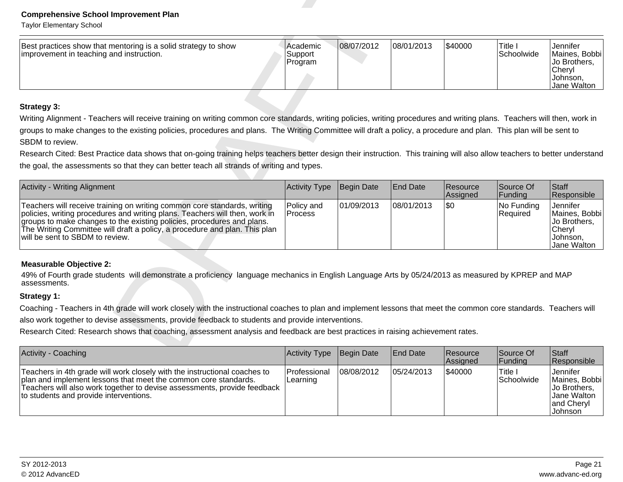| Best practices show that mentoring is a solid strategy to show<br>improvement in teaching and instruction. | l'Academic<br>Support<br>Program | 08/07/2012 | 08/01/2013 | \$40000 | Title<br><b>Schoolwide</b> | Jennifer<br>Maines, Bobbi<br>⊺Jo Brothers.<br>Chervl<br>IJohnson. |
|------------------------------------------------------------------------------------------------------------|----------------------------------|------------|------------|---------|----------------------------|-------------------------------------------------------------------|
|                                                                                                            |                                  |            |            |         |                            | Jane Walton                                                       |

| <b>Comprehensive School Improvement Plan</b><br><b>Taylor Elementary School</b>                                                                                                                                                                                                                                                                                  |                                |            |                 |                      |                        |                                                                                |
|------------------------------------------------------------------------------------------------------------------------------------------------------------------------------------------------------------------------------------------------------------------------------------------------------------------------------------------------------------------|--------------------------------|------------|-----------------|----------------------|------------------------|--------------------------------------------------------------------------------|
| Best practices show that mentoring is a solid strategy to show<br>improvement in teaching and instruction.                                                                                                                                                                                                                                                       | Academic<br>Support<br>Program | 08/07/2012 | 08/01/2013      | \$40000              | Title I<br>Schoolwide  | Jennifer<br>Maines, Bobbi<br>Jo Brothers,<br>Cheryl<br>Johnson,<br>Jane Walton |
| <b>Strategy 3:</b>                                                                                                                                                                                                                                                                                                                                               |                                |            |                 |                      |                        |                                                                                |
| Writing Alignment - Teachers will receive training on writing common core standards, writing policies, writing procedures and writing plans. Teachers will then, work in<br>groups to make changes to the existing policies, procedures and plans. The Writing Committee will draft a policy, a procedure and plan. This plan will be sent to<br>SBDM to review. |                                |            |                 |                      |                        |                                                                                |
| Research Cited: Best Practice data shows that on-going training helps teachers better design their instruction. This training will also allow teachers to better understand                                                                                                                                                                                      |                                |            |                 |                      |                        |                                                                                |
| the goal, the assessments so that they can better teach all strands of writing and types.                                                                                                                                                                                                                                                                        |                                |            |                 |                      |                        |                                                                                |
| Activity - Writing Alignment                                                                                                                                                                                                                                                                                                                                     | Activity Type                  | Begin Date | <b>End Date</b> | Resource<br>Assigned | Source Of<br>Funding   | Staff<br>Responsible                                                           |
| Teachers will receive training on writing common core standards, writing<br>policies, writing procedures and writing plans. Teachers will then, work in<br>groups to make changes to the existing policies, procedures and plans.<br>The Writing Committee will draft a policy, a procedure and plan. This plan<br>will be sent to SBDM to review.               | Policy and<br>Process          | 01/09/2013 | 08/01/2013      | l\$0                 | No Funding<br>Required | Jennifer<br>Maines, Bobbi<br>Jo Brothers,<br>Cheryl<br>Johnson,<br>Jane Walton |
| <b>Measurable Objective 2:</b>                                                                                                                                                                                                                                                                                                                                   |                                |            |                 |                      |                        |                                                                                |
| 49% of Fourth grade students will demonstrate a proficiency language mechanics in English Language Arts by 05/24/2013 as measured by KPREP and MAP<br>assessments.                                                                                                                                                                                               |                                |            |                 |                      |                        |                                                                                |
| Strategy 1:                                                                                                                                                                                                                                                                                                                                                      |                                |            |                 |                      |                        |                                                                                |
| Coaching - Teachers in 4th grade will work closely with the instructional coaches to plan and implement lessons that meet the common core standards. Teachers will                                                                                                                                                                                               |                                |            |                 |                      |                        |                                                                                |
| also work together to devise assessments, provide feedback to students and provide interventions.                                                                                                                                                                                                                                                                |                                |            |                 |                      |                        |                                                                                |
| Research Cited: Research shows that coaching, assessment analysis and feedback are best practices in raising achievement rates.                                                                                                                                                                                                                                  |                                |            |                 |                      |                        |                                                                                |
| Activity - Coaching                                                                                                                                                                                                                                                                                                                                              | <b>Activity Type</b>           | Begin Date | <b>End Date</b> | Resource             | Source Of              | Staff                                                                          |

| Activity - Coaching                                                                                                                                                                                                                                                | Activity Type              | Begin Date | <b>End Date</b> | Resource<br>Assigned | Source Of<br><b>Funding</b> | <b>Staff</b><br>Responsible                                                         |
|--------------------------------------------------------------------------------------------------------------------------------------------------------------------------------------------------------------------------------------------------------------------|----------------------------|------------|-----------------|----------------------|-----------------------------|-------------------------------------------------------------------------------------|
| Teachers in 4th grade will work closely with the instructional coaches to<br>plan and implement lessons that meet the common core standards.<br>Teachers will also work together to devise assessments, provide feedback<br>to students and provide interventions. | l Professional<br>Learning | 08/08/2012 | 105/24/2013     | 1\$40000             | 'Title ∟<br>Schoolwide      | Jennifer<br>Maines, Bobbi<br>Uo Brothers.<br>IJane Walton<br>and Cheryl<br> Johnson |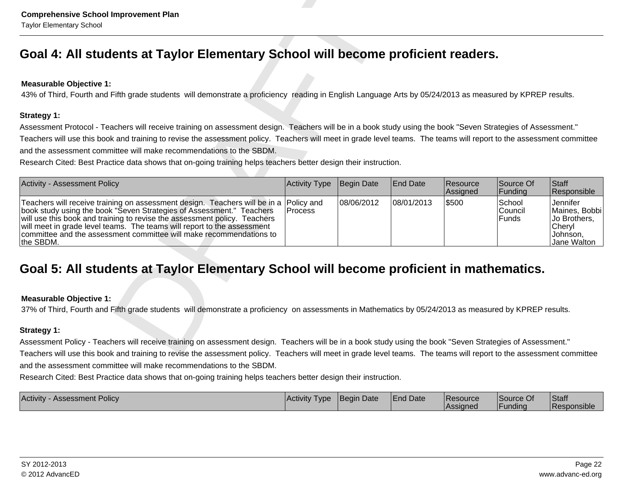| <b>Comprehensive School Improvement Plan</b><br><b>Taylor Elementary School</b>                                                                                                                                                                                                                                                                                                                                                                                                                                                               |                              |            |                 |                      |                                   |                                                                                |
|-----------------------------------------------------------------------------------------------------------------------------------------------------------------------------------------------------------------------------------------------------------------------------------------------------------------------------------------------------------------------------------------------------------------------------------------------------------------------------------------------------------------------------------------------|------------------------------|------------|-----------------|----------------------|-----------------------------------|--------------------------------------------------------------------------------|
| Goal 4: All students at Taylor Elementary School will become proficient readers.                                                                                                                                                                                                                                                                                                                                                                                                                                                              |                              |            |                 |                      |                                   |                                                                                |
| <b>Measurable Objective 1:</b><br>43% of Third, Fourth and Fifth grade students will demonstrate a proficiency reading in English Language Arts by 05/24/2013 as measured by KPREP results.                                                                                                                                                                                                                                                                                                                                                   |                              |            |                 |                      |                                   |                                                                                |
| Strategy 1:<br>Assessment Protocol - Teachers will receive training on assessment design. Teachers will be in a book study using the book "Seven Strategies of Assessment."<br>Teachers will use this book and training to revise the assessment policy. Teachers will meet in grade level teams. The teams will report to the assessment committee<br>and the assessment committee will make recommendations to the SBDM.<br>Research Cited: Best Practice data shows that on-going training helps teachers better design their instruction. |                              |            |                 |                      |                                   |                                                                                |
| <b>Activity - Assessment Policy</b>                                                                                                                                                                                                                                                                                                                                                                                                                                                                                                           | Activity Type                | Begin Date | <b>End Date</b> | Resource<br>Assigned | Source Of<br>Funding              | Staff<br>Responsible                                                           |
| Teachers will receive training on assessment design. Teachers will be in a<br>book study using the book "Seven Strategies of Assessment." Teachers<br>will use this book and training to revise the assessment policy. Teachers<br>will meet in grade level teams. The teams will report to the assessment<br>committee and the assessment committee will make recommendations to<br>the SBDM.                                                                                                                                                | Policy and<br><b>Process</b> | 08/06/2012 | 08/01/2013      | \$500                | School<br>Council<br><b>Funds</b> | Jennifer<br>Maines, Bobbi<br>Jo Brothers,<br>Cheryl<br>Johnson,<br>Jane Walton |
| Goal 5: All students at Taylor Elementary School will become proficient in mathematics.                                                                                                                                                                                                                                                                                                                                                                                                                                                       |                              |            |                 |                      |                                   |                                                                                |
| <b>Measurable Objective 1:</b><br>37% of Third, Fourth and Fifth grade students will demonstrate a proficiency on assessments in Mathematics by 05/24/2013 as measured by KPREP results.                                                                                                                                                                                                                                                                                                                                                      |                              |            |                 |                      |                                   |                                                                                |
| Strategy 1:                                                                                                                                                                                                                                                                                                                                                                                                                                                                                                                                   |                              |            |                 |                      |                                   |                                                                                |
| Assessment Policy - Teachers will receive training on assessment design. Teachers will be in a book study using the book "Seven Strategies of Assessment."<br>Teachers will use this book and training to revise the assessment policy. Teachers will meet in grade level teams. The teams will report to the assessment committee<br>and the assessment committee will make recommendations to the SBDM.<br>Research Cited: Best Practice data shows that on-going training helps teachers better design their instruction.                  |                              |            |                 |                      |                                   |                                                                                |

| Activity<br>Assessment Policy | <b>IActivity</b><br><b>Type</b> | <b>Begin Date</b> | End Date<br>. . | <b>Resource</b> | Source Of | Staff         |
|-------------------------------|---------------------------------|-------------------|-----------------|-----------------|-----------|---------------|
|                               |                                 |                   |                 | <b>Assigned</b> | unding    | l Responsible |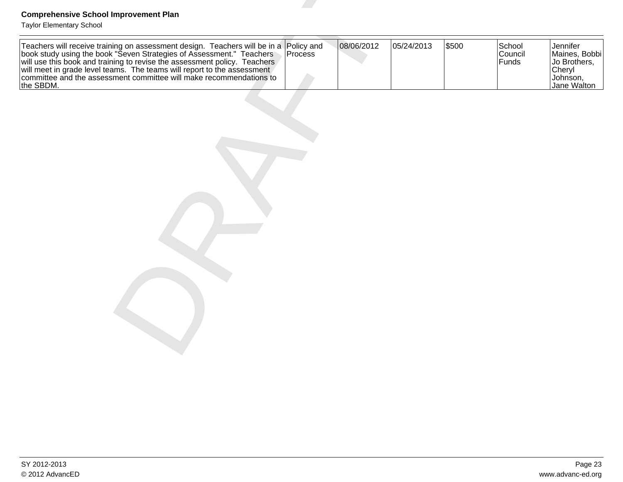| <b>Comprehensive School Improvement Plan</b><br><b>Taylor Elementary School</b>                                                                                                                                                                   |            |            |       |                            |                                                                                |
|---------------------------------------------------------------------------------------------------------------------------------------------------------------------------------------------------------------------------------------------------|------------|------------|-------|----------------------------|--------------------------------------------------------------------------------|
| Teachers will receive training on assessment design. Teachers will be in a Policy and<br>book study using the book "Seven Strategies of Assessment." Teachers<br>will use this book and training to revise the assessment policy. Te<br>the SBDM. | 08/06/2012 | 05/24/2013 | \$500 | School<br>Council<br>Funds | Jennifer<br>Maines, Bobbi<br>Jo Brothers,<br>Cheryl<br>Johnson,<br>Jane Walton |
|                                                                                                                                                                                                                                                   |            |            |       |                            |                                                                                |
|                                                                                                                                                                                                                                                   |            |            |       |                            |                                                                                |
|                                                                                                                                                                                                                                                   |            |            |       |                            |                                                                                |
|                                                                                                                                                                                                                                                   |            |            |       |                            |                                                                                |
|                                                                                                                                                                                                                                                   |            |            |       |                            |                                                                                |
|                                                                                                                                                                                                                                                   |            |            |       |                            |                                                                                |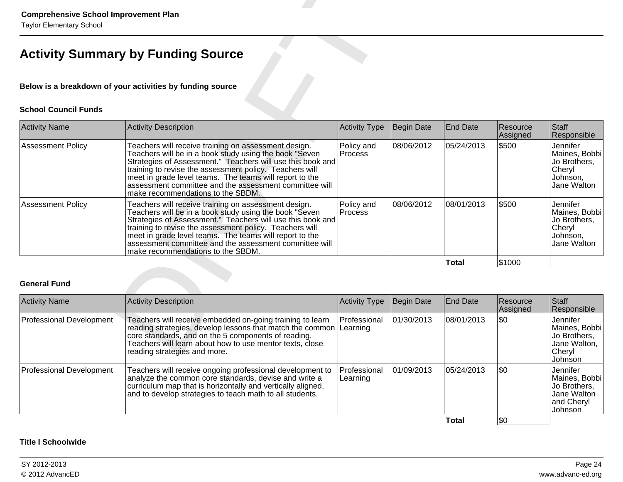| <b>Comprehensive School Improvement Plan</b><br><b>Taylor Elementary School</b> |                                                                                                                                                                                                                                                                                                                                                                                                    |                              |            |                 |                      |                                                                                |  |  |  |
|---------------------------------------------------------------------------------|----------------------------------------------------------------------------------------------------------------------------------------------------------------------------------------------------------------------------------------------------------------------------------------------------------------------------------------------------------------------------------------------------|------------------------------|------------|-----------------|----------------------|--------------------------------------------------------------------------------|--|--|--|
|                                                                                 | <b>Activity Summary by Funding Source</b>                                                                                                                                                                                                                                                                                                                                                          |                              |            |                 |                      |                                                                                |  |  |  |
| Below is a breakdown of your activities by funding source                       |                                                                                                                                                                                                                                                                                                                                                                                                    |                              |            |                 |                      |                                                                                |  |  |  |
| <b>School Council Funds</b>                                                     |                                                                                                                                                                                                                                                                                                                                                                                                    |                              |            |                 |                      |                                                                                |  |  |  |
| <b>Activity Name</b>                                                            | <b>Activity Description</b>                                                                                                                                                                                                                                                                                                                                                                        | <b>Activity Type</b>         | Begin Date | <b>End Date</b> | Resource<br>Assigned | <b>Staff</b><br>Responsible                                                    |  |  |  |
| Assessment Policy                                                               | Teachers will receive training on assessment design.<br>Teachers will be in a book study using the book "Seven"<br>Strategies of Assessment." Teachers will use this book and<br>training to revise the assessment policy. Teachers will<br>meet in grade level teams. The teams will report to the<br>assessment committee and the assessment committee will<br>make recommendations to the SBDM. | Policy and<br>Process        | 08/06/2012 | 05/24/2013      | \$500                | Jennifer<br>Maines, Bobbi<br>Jo Brothers,<br>Cheryl<br>Johnson,<br>Jane Walton |  |  |  |
| <b>Assessment Policy</b>                                                        | Teachers will receive training on assessment design.<br>Teachers will be in a book study using the book "Seven"<br>Strategies of Assessment." Teachers will use this book and<br>training to revise the assessment policy. Teachers will<br>meet in grade level teams. The teams will report to the<br>assessment committee and the assessment committee will<br>make recommendations to the SBDM. | Policy and<br><b>Process</b> | 08/06/2012 | 08/01/2013      | \$500                | Jennifer<br>Maines, Bobbi<br>Jo Brothers,<br>Cheryl<br>Johnson,<br>Jane Walton |  |  |  |
|                                                                                 |                                                                                                                                                                                                                                                                                                                                                                                                    |                              |            | <b>Total</b>    | \$1000               |                                                                                |  |  |  |
| <b>General Fund</b>                                                             |                                                                                                                                                                                                                                                                                                                                                                                                    |                              |            |                 |                      |                                                                                |  |  |  |
| <b>Activity Name</b>                                                            | <b>Activity Description</b>                                                                                                                                                                                                                                                                                                                                                                        | <b>Activity Type</b>         | Begin Date | <b>End Date</b> | Resource<br>Assigned | <b>Staff</b><br>Responsible                                                    |  |  |  |
| <b>Professional Development</b>                                                 | Teachers will receive embedded on-going training to learn<br>reading strategies, develop lessons that match the common<br>core standards, and on the 5 components of reading.<br>Teachers will learn about how to use mentor texts, close<br>reading strategies and more.                                                                                                                          | Professional<br>Learning     | 01/30/2013 | 08/01/2013      | \$0                  | Jennifer<br>Maines, Bobbi<br>Jo Brothers,<br>Jane Walton,<br>Cheryl            |  |  |  |

| <b>Activity Name</b>            | <b>Activity Description</b>                                                                                                                                                                                                                                                        | <b>Activity Type</b>     | Begin Date  | <b>End Date</b> | Resource<br>Assigned | Staff<br>Responsible                                                              |
|---------------------------------|------------------------------------------------------------------------------------------------------------------------------------------------------------------------------------------------------------------------------------------------------------------------------------|--------------------------|-------------|-----------------|----------------------|-----------------------------------------------------------------------------------|
| <b>Professional Development</b> | Teachers will receive embedded on-going training to learn<br>reading strategies, develop lessons that match the common Learning<br>core standards, and on the 5 components of reading.<br>Teachers will learn about how to use mentor texts, close<br>reading strategies and more. | Professional             | 01/30/2013  | 08/01/2013      | 1\$0                 | Jennifer<br>Maines, Bobbi<br>Jo Brothers,<br>Jane Walton,<br>Cheryl<br>Johnson    |
| <b>Professional Development</b> | Teachers will receive ongoing professional development to<br>analyze the common core standards, devise and write a<br>curriculum map that is horizontally and vertically aligned,<br>and to develop strategies to teach math to all students.                                      | Professional<br>Learning | 101/09/2013 | 05/24/2013      | \$0                  | Jennifer<br>Maines, Bobbi<br>Jo Brothers,<br>Jane Walton<br>and Cheryl<br>Johnson |
|                                 |                                                                                                                                                                                                                                                                                    |                          |             | Total           | <b>\\$0</b>          |                                                                                   |

# **Title I Schoolwide**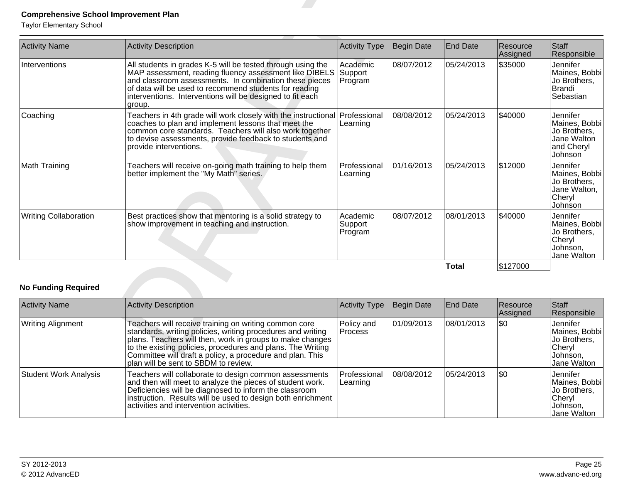| <b>Comprehensive School Improvement Plan</b><br><b>Taylor Elementary School</b> |                                                                                                                                                                                                                                                                                                                  |                                |                   |                 |                      |                                                                                   |
|---------------------------------------------------------------------------------|------------------------------------------------------------------------------------------------------------------------------------------------------------------------------------------------------------------------------------------------------------------------------------------------------------------|--------------------------------|-------------------|-----------------|----------------------|-----------------------------------------------------------------------------------|
| <b>Activity Name</b>                                                            | <b>Activity Description</b>                                                                                                                                                                                                                                                                                      | <b>Activity Type</b>           | <b>Begin Date</b> | End Date        | Resource<br>Assigned | <b>Staff</b><br>Responsible                                                       |
| Interventions                                                                   | All students in grades K-5 will be tested through using the<br>MAP assessment, reading fluency assessment like DIBELS<br>and classroom assessments. In combination these pieces<br>of data will be used to recommend students for reading<br>interventions. Interventions will be designed to fit each<br>group. | Academic<br>Support<br>Program | 08/07/2012        | 05/24/2013      | \$35000              | <b>Jennifer</b><br>Maines, Bobbi<br>Jo Brothers,<br>Brandi<br>Sebastian           |
| Coaching                                                                        | Teachers in 4th grade will work closely with the instructional Professional<br>coaches to plan and implement lessons that meet the<br>common core standards. Teachers will also work together<br>to devise assessments, provide feedback to students and<br>provide interventions.                               | Learning                       | 08/08/2012        | 05/24/2013      | \$40000              | Jennifer<br>Maines, Bobbi<br>Jo Brothers,<br>Jane Walton<br>and Cheryl<br>Johnson |
| Math Training                                                                   | Teachers will receive on-going math training to help them<br>better implement the "My Math" series.                                                                                                                                                                                                              | Professional<br>Learning       | 01/16/2013        | 05/24/2013      | \$12000              | Jennifer<br>Maines, Bobbi<br>Jo Brothers,<br>Jane Walton,<br>Cheryl<br>Johnson    |
| <b>Writing Collaboration</b>                                                    | Best practices show that mentoring is a solid strategy to<br>show improvement in teaching and instruction.                                                                                                                                                                                                       | Academic<br>Support<br>Program | 08/07/2012        | 08/01/2013      | \$40000              | Jennifer<br>Maines, Bobbi<br>Jo Brothers,<br>Cheryl<br>Johnson,<br>Jane Walton    |
|                                                                                 |                                                                                                                                                                                                                                                                                                                  |                                |                   | <b>Total</b>    | \$127000             |                                                                                   |
| <b>No Funding Required</b>                                                      |                                                                                                                                                                                                                                                                                                                  |                                |                   |                 |                      |                                                                                   |
| <b>Activity Name</b>                                                            | <b>Activity Description</b>                                                                                                                                                                                                                                                                                      | <b>Activity Type</b>           | <b>Begin Date</b> | <b>End Date</b> | Resource<br>Assigned | Staff<br>Responsible                                                              |
| <b>Writing Alignment</b>                                                        | Teachers will receive training on writing common core<br>standards, writing policies, writing procedures and writing<br>plans. Teachers will then, work in groups to make changes<br>to the existing policies, procedures and plans. The Writing<br>Committee will draft a policy, a procedure and plan. This    | Policy and<br><b>Process</b>   | 01/09/2013        | 08/01/2013      | \$0                  | Jennifer<br>Maines, Bobbi<br>Jo Brothers,<br>Cheryl<br>Johnson,                   |

| <b>Activity Name</b>         | Activity Description                                                                                                                                                                                                                                                                                                                                  | <b>Activity Type</b>         | Begin Date  | <b>End Date</b> | Resource<br>Assigned | Staff<br>Responsible                                                           |
|------------------------------|-------------------------------------------------------------------------------------------------------------------------------------------------------------------------------------------------------------------------------------------------------------------------------------------------------------------------------------------------------|------------------------------|-------------|-----------------|----------------------|--------------------------------------------------------------------------------|
| <b>Writing Alignment</b>     | Teachers will receive training on writing common core<br>standards, writing policies, writing procedures and writing<br>plans. Teachers will then, work in groups to make changes<br>to the existing policies, procedures and plans. The Writing<br>Committee will draft a policy, a procedure and plan. This<br>plan will be sent to SBDM to review. | Policy and<br><b>Process</b> | 01/09/2013  | 08/01/2013      | 1\$0                 | Jennifer<br>Maines, Bobbi<br>Jo Brothers,<br>Cheryl<br>Johnson,<br>Jane Walton |
| <b>Student Work Analysis</b> | Teachers will collaborate to design common assessments<br>and then will meet to analyze the pieces of student work.<br>Deficiencies will be diagnosed to inform the classroom<br>instruction. Results will be used to design both enrichment<br>activities and intervention activities.                                                               | Professional<br>Learning     | 108/08/2012 | 105/24/2013     | 1\$0                 | Jennifer<br>Maines, Bobbi<br>Jo Brothers,<br>Cheryl<br>Johnson,<br>Jane Walton |